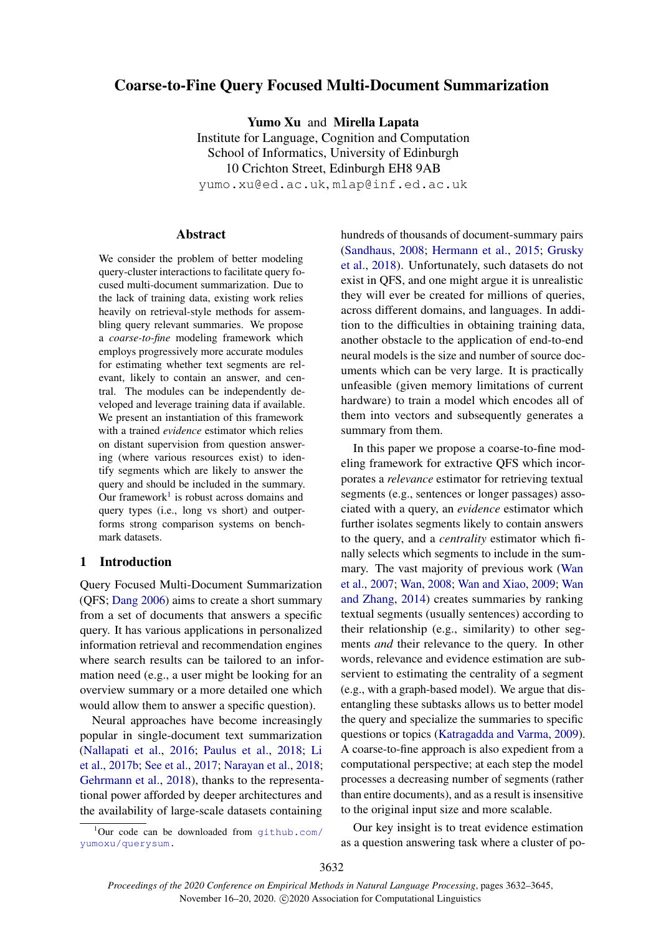# Coarse-to-Fine Query Focused Multi-Document Summarization

Yumo Xu and Mirella Lapata Institute for Language, Cognition and Computation School of Informatics, University of Edinburgh 10 Crichton Street, Edinburgh EH8 9AB yumo.xu@ed.ac.uk, mlap@inf.ed.ac.uk

### **Abstract**

We consider the problem of better modeling query-cluster interactions to facilitate query focused multi-document summarization. Due to the lack of training data, existing work relies heavily on retrieval-style methods for assembling query relevant summaries. We propose a *coarse-to-fine* modeling framework which employs progressively more accurate modules for estimating whether text segments are relevant, likely to contain an answer, and central. The modules can be independently developed and leverage training data if available. We present an instantiation of this framework with a trained *evidence* estimator which relies on distant supervision from question answering (where various resources exist) to identify segments which are likely to answer the query and should be included in the summary. Our framework<sup>[1](#page-0-0)</sup> is robust across domains and query types (i.e., long vs short) and outperforms strong comparison systems on benchmark datasets.

## 1 Introduction

Query Focused Multi-Document Summarization (QFS; [Dang](#page-9-0) [2006\)](#page-9-0) aims to create a short summary from a set of documents that answers a specific query. It has various applications in personalized information retrieval and recommendation engines where search results can be tailored to an information need (e.g., a user might be looking for an overview summary or a more detailed one which would allow them to answer a specific question).

Neural approaches have become increasingly popular in single-document text summarization [\(Nallapati et al.,](#page-10-0) [2016;](#page-10-0) [Paulus et al.,](#page-10-1) [2018;](#page-10-1) [Li](#page-10-2) [et al.,](#page-10-2) [2017b;](#page-10-2) [See et al.,](#page-10-3) [2017;](#page-10-3) [Narayan et al.,](#page-10-4) [2018;](#page-10-4) [Gehrmann et al.,](#page-9-1) [2018\)](#page-9-1), thanks to the representational power afforded by deeper architectures and the availability of large-scale datasets containing hundreds of thousands of document-summary pairs [\(Sandhaus,](#page-10-5) [2008;](#page-10-5) [Hermann et al.,](#page-9-2) [2015;](#page-9-2) [Grusky](#page-9-3) [et al.,](#page-9-3) [2018\)](#page-9-3). Unfortunately, such datasets do not exist in QFS, and one might argue it is unrealistic they will ever be created for millions of queries, across different domains, and languages. In addition to the difficulties in obtaining training data, another obstacle to the application of end-to-end neural models is the size and number of source documents which can be very large. It is practically unfeasible (given memory limitations of current hardware) to train a model which encodes all of them into vectors and subsequently generates a summary from them.

In this paper we propose a coarse-to-fine modeling framework for extractive QFS which incorporates a *relevance* estimator for retrieving textual segments (e.g., sentences or longer passages) associated with a query, an *evidence* estimator which further isolates segments likely to contain answers to the query, and a *centrality* estimator which finally selects which segments to include in the summary. The vast majority of previous work [\(Wan](#page-11-0) [et al.,](#page-11-0) [2007;](#page-11-0) [Wan,](#page-10-6) [2008;](#page-10-6) [Wan and Xiao,](#page-10-7) [2009;](#page-10-7) [Wan](#page-11-1) [and Zhang,](#page-11-1) [2014\)](#page-11-1) creates summaries by ranking textual segments (usually sentences) according to their relationship (e.g., similarity) to other segments *and* their relevance to the query. In other words, relevance and evidence estimation are subservient to estimating the centrality of a segment (e.g., with a graph-based model). We argue that disentangling these subtasks allows us to better model the query and specialize the summaries to specific questions or topics [\(Katragadda and Varma,](#page-10-8) [2009\)](#page-10-8). A coarse-to-fine approach is also expedient from a computational perspective; at each step the model processes a decreasing number of segments (rather than entire documents), and as a result is insensitive to the original input size and more scalable.

Our key insight is to treat evidence estimation as a question answering task where a cluster of po-

<span id="page-0-0"></span> $1$ Our code can be downloaded from  $q$ ithub.com/ [yumoxu/querysum.](github.com/yumoxu/querysum.)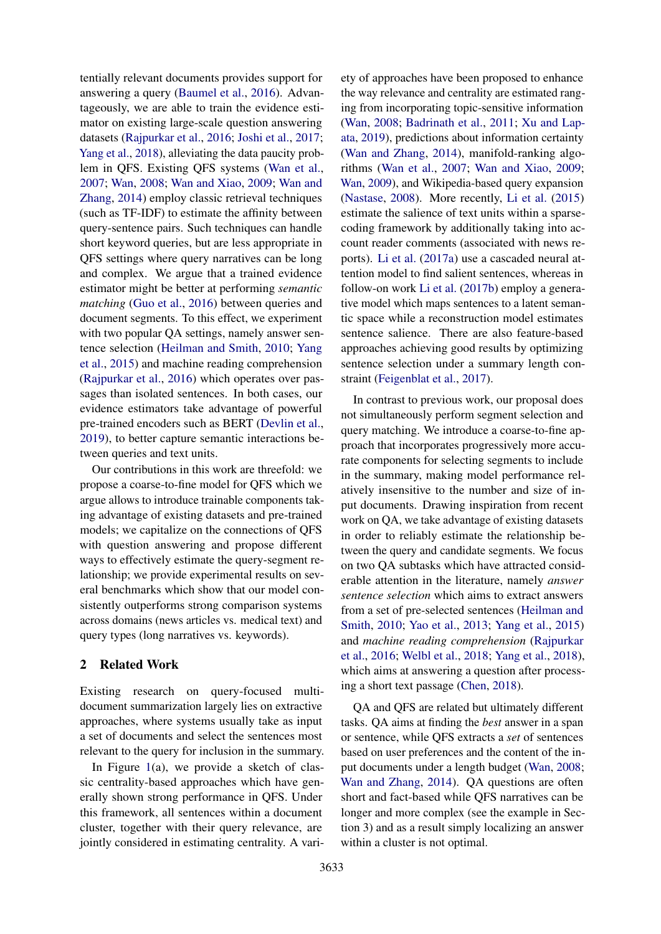tentially relevant documents provides support for answering a query [\(Baumel et al.,](#page-9-4) [2016\)](#page-9-4). Advantageously, we are able to train the evidence estimator on existing large-scale question answering datasets [\(Rajpurkar et al.,](#page-10-9) [2016;](#page-10-9) [Joshi et al.,](#page-9-5) [2017;](#page-9-5) [Yang et al.,](#page-11-2) [2018\)](#page-11-2), alleviating the data paucity problem in QFS. Existing QFS systems [\(Wan et al.,](#page-11-0) [2007;](#page-11-0) [Wan,](#page-10-6) [2008;](#page-10-6) [Wan and Xiao,](#page-10-7) [2009;](#page-10-7) [Wan and](#page-11-1) [Zhang,](#page-11-1) [2014\)](#page-11-1) employ classic retrieval techniques (such as TF-IDF) to estimate the affinity between query-sentence pairs. Such techniques can handle short keyword queries, but are less appropriate in QFS settings where query narratives can be long and complex. We argue that a trained evidence estimator might be better at performing *semantic matching* [\(Guo et al.,](#page-9-6) [2016\)](#page-9-6) between queries and document segments. To this effect, we experiment with two popular QA settings, namely answer sentence selection [\(Heilman and Smith,](#page-9-7) [2010;](#page-9-7) [Yang](#page-11-3) [et al.,](#page-11-3) [2015\)](#page-11-3) and machine reading comprehension [\(Rajpurkar et al.,](#page-10-9) [2016\)](#page-10-9) which operates over passages than isolated sentences. In both cases, our evidence estimators take advantage of powerful pre-trained encoders such as BERT [\(Devlin et al.,](#page-9-8) [2019\)](#page-9-8), to better capture semantic interactions between queries and text units.

Our contributions in this work are threefold: we propose a coarse-to-fine model for QFS which we argue allows to introduce trainable components taking advantage of existing datasets and pre-trained models; we capitalize on the connections of QFS with question answering and propose different ways to effectively estimate the query-segment relationship; we provide experimental results on several benchmarks which show that our model consistently outperforms strong comparison systems across domains (news articles vs. medical text) and query types (long narratives vs. keywords).

### 2 Related Work

Existing research on query-focused multidocument summarization largely lies on extractive approaches, where systems usually take as input a set of documents and select the sentences most relevant to the query for inclusion in the summary.

In Figure  $1(a)$  $1(a)$ , we provide a sketch of classic centrality-based approaches which have generally shown strong performance in QFS. Under this framework, all sentences within a document cluster, together with their query relevance, are jointly considered in estimating centrality. A variety of approaches have been proposed to enhance the way relevance and centrality are estimated ranging from incorporating topic-sensitive information [\(Wan,](#page-10-6) [2008;](#page-10-6) [Badrinath et al.,](#page-9-9) [2011;](#page-9-9) [Xu and Lap](#page-11-4)[ata,](#page-11-4) [2019\)](#page-11-4), predictions about information certainty [\(Wan and Zhang,](#page-11-1) [2014\)](#page-11-1), manifold-ranking algorithms [\(Wan et al.,](#page-11-0) [2007;](#page-11-0) [Wan and Xiao,](#page-10-7) [2009;](#page-10-7) [Wan,](#page-10-10) [2009\)](#page-10-10), and Wikipedia-based query expansion [\(Nastase,](#page-10-11) [2008\)](#page-10-11). More recently, [Li et al.](#page-10-12) [\(2015\)](#page-10-12) estimate the salience of text units within a sparsecoding framework by additionally taking into account reader comments (associated with news reports). [Li et al.](#page-10-13) [\(2017a\)](#page-10-13) use a cascaded neural attention model to find salient sentences, whereas in follow-on work [Li et al.](#page-10-2) [\(2017b\)](#page-10-2) employ a generative model which maps sentences to a latent semantic space while a reconstruction model estimates sentence salience. There are also feature-based approaches achieving good results by optimizing sentence selection under a summary length constraint [\(Feigenblat et al.,](#page-9-10) [2017\)](#page-9-10).

In contrast to previous work, our proposal does not simultaneously perform segment selection and query matching. We introduce a coarse-to-fine approach that incorporates progressively more accurate components for selecting segments to include in the summary, making model performance relatively insensitive to the number and size of input documents. Drawing inspiration from recent work on QA, we take advantage of existing datasets in order to reliably estimate the relationship between the query and candidate segments. We focus on two QA subtasks which have attracted considerable attention in the literature, namely *answer sentence selection* which aims to extract answers from a set of pre-selected sentences [\(Heilman and](#page-9-7) [Smith,](#page-9-7) [2010;](#page-9-7) [Yao et al.,](#page-11-5) [2013;](#page-11-5) [Yang et al.,](#page-11-3) [2015\)](#page-11-3) and *machine reading comprehension* [\(Rajpurkar](#page-10-9) [et al.,](#page-10-9) [2016;](#page-10-9) [Welbl et al.,](#page-11-6) [2018;](#page-11-6) [Yang et al.,](#page-11-2) [2018\)](#page-11-2), which aims at answering a question after processing a short text passage [\(Chen,](#page-9-11) [2018\)](#page-9-11).

QA and QFS are related but ultimately different tasks. QA aims at finding the *best* answer in a span or sentence, while QFS extracts a *set* of sentences based on user preferences and the content of the input documents under a length budget [\(Wan,](#page-10-6) [2008;](#page-10-6) [Wan and Zhang,](#page-11-1) [2014\)](#page-11-1). QA questions are often short and fact-based while QFS narratives can be longer and more complex (see the example in Section 3) and as a result simply localizing an answer within a cluster is not optimal.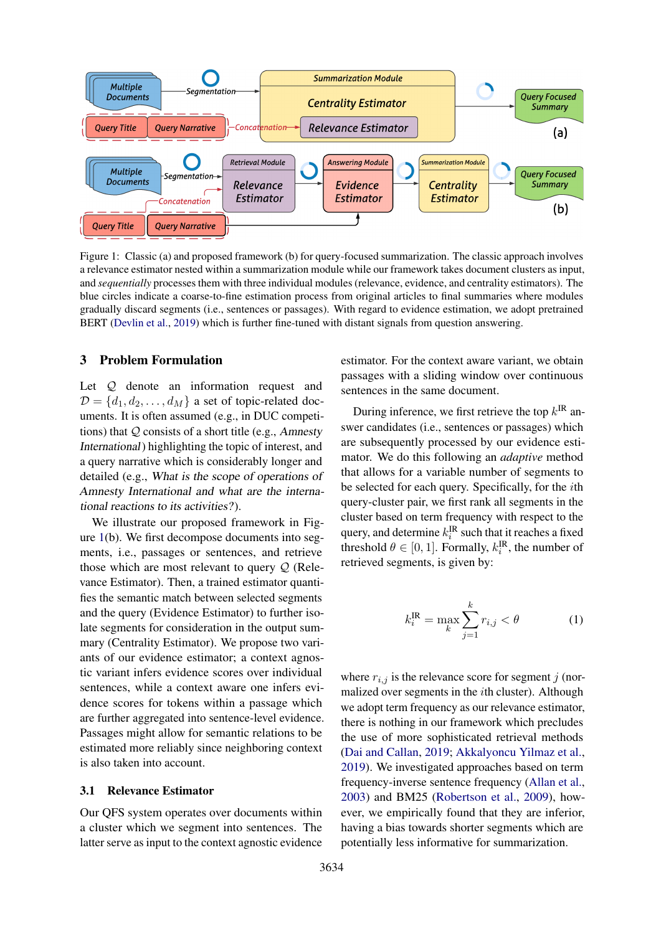<span id="page-2-0"></span>

Figure 1: Classic (a) and proposed framework (b) for query-focused summarization. The classic approach involves a relevance estimator nested within a summarization module while our framework takes document clusters as input, and *sequentially* processes them with three individual modules (relevance, evidence, and centrality estimators). The blue circles indicate a coarse-to-fine estimation process from original articles to final summaries where modules gradually discard segments (i.e., sentences or passages). With regard to evidence estimation, we adopt pretrained BERT [\(Devlin et al.,](#page-9-8) [2019\)](#page-9-8) which is further fine-tuned with distant signals from question answering.

### 3 Problem Formulation

Let  $Q$  denote an information request and  $D = \{d_1, d_2, \ldots, d_M\}$  a set of topic-related documents. It is often assumed (e.g., in DUC competitions) that  $Q$  consists of a short title (e.g., Amnesty International) highlighting the topic of interest, and a query narrative which is considerably longer and detailed (e.g., What is the scope of operations of Amnesty International and what are the international reactions to its activities? ).

We illustrate our proposed framework in Figure [1\(](#page-2-0)b). We first decompose documents into segments, i.e., passages or sentences, and retrieve those which are most relevant to query  $Q$  (Relevance Estimator). Then, a trained estimator quantifies the semantic match between selected segments and the query (Evidence Estimator) to further isolate segments for consideration in the output summary (Centrality Estimator). We propose two variants of our evidence estimator; a context agnostic variant infers evidence scores over individual sentences, while a context aware one infers evidence scores for tokens within a passage which are further aggregated into sentence-level evidence. Passages might allow for semantic relations to be estimated more reliably since neighboring context is also taken into account.

#### 3.1 Relevance Estimator

Our QFS system operates over documents within a cluster which we segment into sentences. The latter serve as input to the context agnostic evidence

estimator. For the context aware variant, we obtain passages with a sliding window over continuous sentences in the same document.

During inference, we first retrieve the top  $k^{IR}$  answer candidates (i.e., sentences or passages) which are subsequently processed by our evidence estimator. We do this following an *adaptive* method that allows for a variable number of segments to be selected for each query. Specifically, for the ith query-cluster pair, we first rank all segments in the cluster based on term frequency with respect to the query, and determine  $k_i^{\text{IR}}$  such that it reaches a fixed threshold  $\theta \in [0, 1]$ . Formally,  $k_i^{\text{IR}}$ , the number of retrieved segments, is given by:

$$
k_i^{\text{IR}} = \max_k \sum_{j=1}^k r_{i,j} < \theta \tag{1}
$$

where  $r_{i,j}$  is the relevance score for segment j (normalized over segments in the ith cluster). Although we adopt term frequency as our relevance estimator, there is nothing in our framework which precludes the use of more sophisticated retrieval methods [\(Dai and Callan,](#page-9-12) [2019;](#page-9-12) [Akkalyoncu Yilmaz et al.,](#page-8-0) [2019\)](#page-8-0). We investigated approaches based on term frequency-inverse sentence frequency [\(Allan et al.,](#page-9-13) [2003\)](#page-9-13) and BM25 [\(Robertson et al.,](#page-10-14) [2009\)](#page-10-14), however, we empirically found that they are inferior, having a bias towards shorter segments which are potentially less informative for summarization.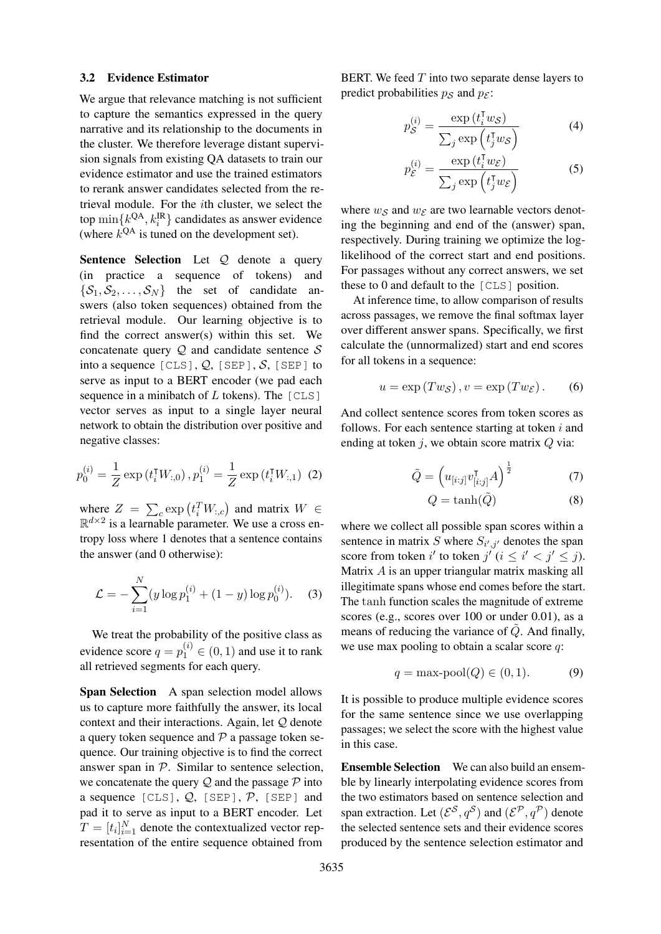#### 3.2 Evidence Estimator

We argue that relevance matching is not sufficient to capture the semantics expressed in the query narrative and its relationship to the documents in the cluster. We therefore leverage distant supervision signals from existing QA datasets to train our evidence estimator and use the trained estimators to rerank answer candidates selected from the retrieval module. For the ith cluster, we select the top  $\min\{k^{QA}, k_i^{\text{IR}}\}$  candidates as answer evidence (where  $k^{QA}$  is tuned on the development set).

Sentence Selection Let Q denote a query (in practice a sequence of tokens) and  $\{\mathcal{S}_1, \mathcal{S}_2, \ldots, \mathcal{S}_N\}$  the set of candidate answers (also token sequences) obtained from the retrieval module. Our learning objective is to find the correct answer(s) within this set. We concatenate query  $Q$  and candidate sentence  $S$ into a sequence  $[CLS]$ ,  $Q$ ,  $[SEP]$ ,  $S$ ,  $[SEP]$  to serve as input to a BERT encoder (we pad each sequence in a minibatch of  $L$  tokens). The  $[CLS]$ vector serves as input to a single layer neural network to obtain the distribution over positive and negative classes:

$$
p_0^{(i)} = \frac{1}{Z} \exp(t_i^{\mathsf{T}} W_{:,0}), p_1^{(i)} = \frac{1}{Z} \exp(t_i^{\mathsf{T}} W_{:,1}) \tag{2}
$$

where  $Z = \sum_{c} \exp(t_i^T W_{:,c})$  and matrix  $W \in$  $\mathbb{R}^{d \times 2}$  is a learnable parameter. We use a cross entropy loss where 1 denotes that a sentence contains the answer (and 0 otherwise):

$$
\mathcal{L} = -\sum_{i=1}^{N} (y \log p_1^{(i)} + (1 - y) \log p_0^{(i)}).
$$
 (3)

We treat the probability of the positive class as evidence score  $q = p_1^{(i)} \in (0, 1)$  and use it to rank all retrieved segments for each query.

Span Selection A span selection model allows us to capture more faithfully the answer, its local context and their interactions. Again, let Q denote a query token sequence and  $\mathcal P$  a passage token sequence. Our training objective is to find the correct answer span in  $P$ . Similar to sentence selection, we concatenate the query  $Q$  and the passage  $P$  into a sequence  $[CLS]$ ,  $Q$ ,  $[SEP]$ ,  $P$ ,  $[SEP]$  and pad it to serve as input to a BERT encoder. Let  $T = [t_i]_{i=1}^N$  denote the contextualized vector representation of the entire sequence obtained from

BERT. We feed  $T$  into two separate dense layers to predict probabilities  $p_S$  and  $p_{\mathcal{E}}$ :

$$
p_{\mathcal{S}}^{(i)} = \frac{\exp\left(t_i^{\mathsf{T}} w_{\mathcal{S}}\right)}{\sum_j \exp\left(t_j^{\mathsf{T}} w_{\mathcal{S}}\right)}\tag{4}
$$

$$
p_{\mathcal{E}}^{(i)} = \frac{\exp\left(t_i^{\mathsf{T}} w_{\mathcal{E}}\right)}{\sum_j \exp\left(t_j^{\mathsf{T}} w_{\mathcal{E}}\right)}\tag{5}
$$

where  $w_{\mathcal{S}}$  and  $w_{\mathcal{E}}$  are two learnable vectors denoting the beginning and end of the (answer) span, respectively. During training we optimize the loglikelihood of the correct start and end positions. For passages without any correct answers, we set these to 0 and default to the [CLS] position.

At inference time, to allow comparison of results across passages, we remove the final softmax layer over different answer spans. Specifically, we first calculate the (unnormalized) start and end scores for all tokens in a sequence:

$$
u = \exp(Tw_{\mathcal{S}}), v = \exp(Tw_{\mathcal{E}}).
$$
 (6)

And collect sentence scores from token scores as follows. For each sentence starting at token  $i$  and ending at token  $i$ , we obtain score matrix  $Q$  via:

$$
\tilde{Q} = \left(u_{[i:j]}v_{[i:j]}^{\mathsf{T}}A\right)^{\frac{1}{2}}\tag{7}
$$

$$
Q = \tanh(\tilde{Q})\tag{8}
$$

where we collect all possible span scores within a sentence in matrix S where  $S_{i',j'}$  denotes the span score from token i' to token  $j^{i}$  ( $i \leq i' < j' \leq j$ ). Matrix A is an upper triangular matrix masking all illegitimate spans whose end comes before the start. The tanh function scales the magnitude of extreme scores (e.g., scores over 100 or under 0.01), as a means of reducing the variance of  $Q$ . And finally, we use max pooling to obtain a scalar score  $q$ :

$$
q = \max \text{pool}(Q) \in (0, 1). \tag{9}
$$

It is possible to produce multiple evidence scores for the same sentence since we use overlapping passages; we select the score with the highest value in this case.

Ensemble Selection We can also build an ensemble by linearly interpolating evidence scores from the two estimators based on sentence selection and span extraction. Let  $(\mathcal{E}^{\mathcal{S}}, q^{\mathcal{S}})$  and  $(\mathcal{E}^{\mathcal{P}}, q^{\mathcal{P}})$  denote the selected sentence sets and their evidence scores produced by the sentence selection estimator and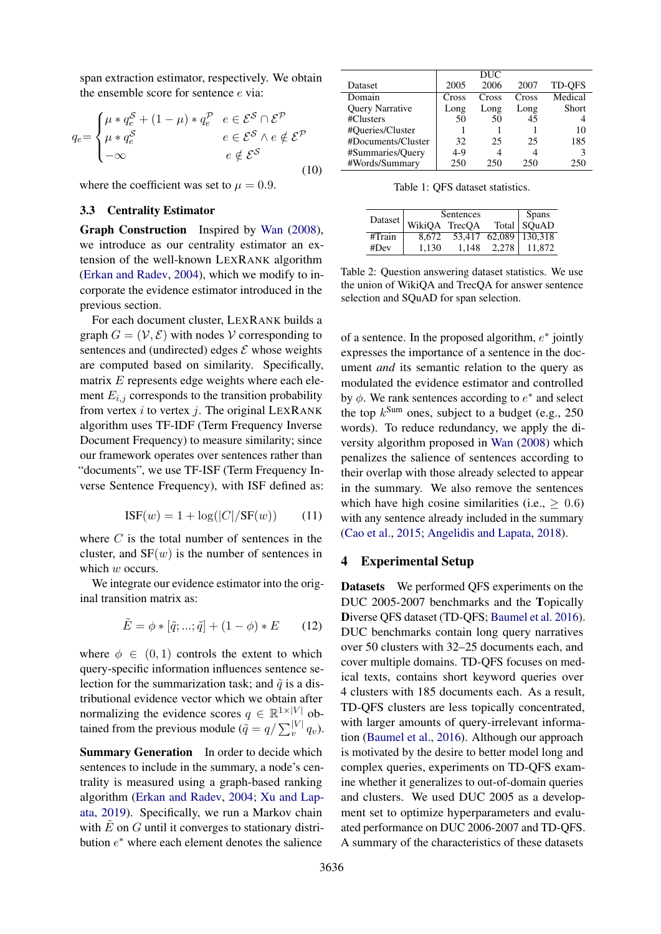span extraction estimator, respectively. We obtain the ensemble score for sentence e via:

$$
q_e = \begin{cases} \mu * q_e^{\mathcal{S}} + (1 - \mu) * q_e^{\mathcal{P}} & e \in \mathcal{E}^{\mathcal{S}} \cap \mathcal{E}^{\mathcal{P}} \\ \mu * q_e^{\mathcal{S}} & e \in \mathcal{E}^{\mathcal{S}} \land e \notin \mathcal{E}^{\mathcal{P}} \\ -\infty & e \notin \mathcal{E}^{\mathcal{S}} \end{cases}
$$
(10)

where the coefficient was set to  $\mu = 0.9$ .

#### 3.3 Centrality Estimator

Graph Construction Inspired by [Wan](#page-10-6) [\(2008\)](#page-10-6), we introduce as our centrality estimator an extension of the well-known LEXRANK algorithm [\(Erkan and Radev,](#page-9-14) [2004\)](#page-9-14), which we modify to incorporate the evidence estimator introduced in the previous section.

For each document cluster, LEXRANK builds a graph  $G = (\mathcal{V}, \mathcal{E})$  with nodes V corresponding to sentences and (undirected) edges  $\mathcal E$  whose weights are computed based on similarity. Specifically, matrix  $E$  represents edge weights where each element  $E_{i,j}$  corresponds to the transition probability from vertex i to vertex j. The original LEXRANK algorithm uses TF-IDF (Term Frequency Inverse Document Frequency) to measure similarity; since our framework operates over sentences rather than "documents", we use TF-ISF (Term Frequency Inverse Sentence Frequency), with ISF defined as:

$$
ISF(w) = 1 + \log(|C|/SF(w)) \qquad (11)
$$

where  $C$  is the total number of sentences in the cluster, and  $SF(w)$  is the number of sentences in which w occurs.

We integrate our evidence estimator into the original transition matrix as:

$$
\tilde{E} = \phi * [\tilde{q}; ...; \tilde{q}] + (1 - \phi) * E \qquad (12)
$$

where  $\phi \in (0, 1)$  controls the extent to which query-specific information influences sentence selection for the summarization task; and  $\tilde{q}$  is a distributional evidence vector which we obtain after normalizing the evidence scores  $q \in \mathbb{R}^{1 \times |V|}$  obtained from the previous module ( $\tilde{q} = q / \sum_{v}^{|V|} q_v$ ).

Summary Generation In order to decide which sentences to include in the summary, a node's centrality is measured using a graph-based ranking algorithm [\(Erkan and Radev,](#page-9-14) [2004;](#page-9-14) [Xu and Lap](#page-11-4)[ata,](#page-11-4) [2019\)](#page-11-4). Specifically, we run a Markov chain with  $E$  on  $G$  until it converges to stationary distribution  $e^*$  where each element denotes the salience

<span id="page-4-0"></span>

|                        |       | DUC   |       |               |
|------------------------|-------|-------|-------|---------------|
| Dataset                | 2005  | 2006  | 2007  | <b>TD-OFS</b> |
| Domain                 | Cross | Cross | Cross | Medical       |
| <b>Query Narrative</b> | Long  | Long  | Long  | Short         |
| #Clusters              | 50    | 50    | 45    |               |
| #Queries/Cluster       |       |       |       | 10            |
| #Documents/Cluster     | 32    | 25    | 25    | 185           |
| #Summaries/Query       | $4-9$ |       |       |               |
| #Words/Summary         | 250   | 250   | 250   | 250           |

Table 1: QFS dataset statistics.

<span id="page-4-1"></span>

|         | Sentences     | <b>Spans</b> |       |                       |
|---------|---------------|--------------|-------|-----------------------|
| Dataset | WikiQA TrecQA |              |       | Total SQuAD           |
| #Train  | 8.672         |              |       | 53,417 62,089 130,318 |
| #Dev    | 1.130         | 1.148        | 2.278 | 11.872                |

Table 2: Question answering dataset statistics. We use the union of WikiQA and TrecQA for answer sentence selection and SQuAD for span selection.

of a sentence. In the proposed algorithm,  $e^*$  jointly expresses the importance of a sentence in the document *and* its semantic relation to the query as modulated the evidence estimator and controlled by  $\phi$ . We rank sentences according to  $e^*$  and select the top  $k^{\text{Sum}}$  ones, subject to a budget (e.g., 250) words). To reduce redundancy, we apply the diversity algorithm proposed in [Wan](#page-10-6) [\(2008\)](#page-10-6) which penalizes the salience of sentences according to their overlap with those already selected to appear in the summary. We also remove the sentences which have high cosine similarities (i.e.,  $\geq 0.6$ ) with any sentence already included in the summary [\(Cao et al.,](#page-9-15) [2015;](#page-9-15) [Angelidis and Lapata,](#page-9-16) [2018\)](#page-9-16).

### 4 Experimental Setup

Datasets We performed QFS experiments on the DUC 2005-2007 benchmarks and the Topically Diverse QFS dataset (TD-QFS; [Baumel et al.](#page-9-4) [2016\)](#page-9-4). DUC benchmarks contain long query narratives over 50 clusters with 32–25 documents each, and cover multiple domains. TD-QFS focuses on medical texts, contains short keyword queries over 4 clusters with 185 documents each. As a result, TD-QFS clusters are less topically concentrated, with larger amounts of query-irrelevant information [\(Baumel et al.,](#page-9-4) [2016\)](#page-9-4). Although our approach is motivated by the desire to better model long and complex queries, experiments on TD-QFS examine whether it generalizes to out-of-domain queries and clusters. We used DUC 2005 as a development set to optimize hyperparameters and evaluated performance on DUC 2006-2007 and TD-QFS. A summary of the characteristics of these datasets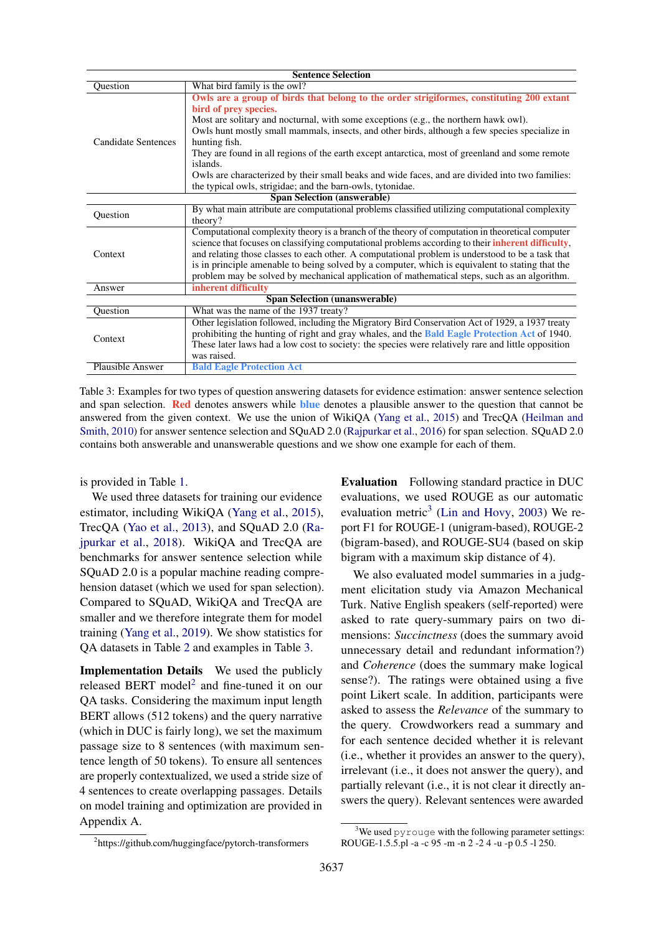<span id="page-5-0"></span>

| <b>Sentence Selection</b>            |                                                                                                                   |  |  |  |  |
|--------------------------------------|-------------------------------------------------------------------------------------------------------------------|--|--|--|--|
| Question                             | What bird family is the owl?                                                                                      |  |  |  |  |
|                                      | Owls are a group of birds that belong to the order strigiformes, constituting 200 extant<br>bird of prev species. |  |  |  |  |
|                                      | Most are solitary and nocturnal, with some exceptions (e.g., the northern hawk owl).                              |  |  |  |  |
|                                      | Owls hunt mostly small mammals, insects, and other birds, although a few species specialize in                    |  |  |  |  |
| <b>Candidate Sentences</b>           | hunting fish.                                                                                                     |  |  |  |  |
|                                      | They are found in all regions of the earth except antarctica, most of greenland and some remote<br>islands.       |  |  |  |  |
|                                      | Owls are characterized by their small beaks and wide faces, and are divided into two families:                    |  |  |  |  |
|                                      | the typical owls, strigidae; and the barn-owls, tytonidae.                                                        |  |  |  |  |
| <b>Span Selection (answerable)</b>   |                                                                                                                   |  |  |  |  |
| Question                             | By what main attribute are computational problems classified utilizing computational complexity                   |  |  |  |  |
|                                      | theory?                                                                                                           |  |  |  |  |
|                                      | Computational complexity theory is a branch of the theory of computation in theoretical computer                  |  |  |  |  |
|                                      | science that focuses on classifying computational problems according to their inherent difficulty,                |  |  |  |  |
| Context                              | and relating those classes to each other. A computational problem is understood to be a task that                 |  |  |  |  |
|                                      | is in principle amenable to being solved by a computer, which is equivalent to stating that the                   |  |  |  |  |
|                                      | problem may be solved by mechanical application of mathematical steps, such as an algorithm.                      |  |  |  |  |
| Answer                               | inherent difficulty                                                                                               |  |  |  |  |
| <b>Span Selection (unanswerable)</b> |                                                                                                                   |  |  |  |  |
| Question                             | What was the name of the 1937 treaty?                                                                             |  |  |  |  |
| Context                              | Other legislation followed, including the Migratory Bird Conservation Act of 1929, a 1937 treaty                  |  |  |  |  |
|                                      | prohibiting the hunting of right and gray whales, and the Bald Eagle Protection Act of 1940.                      |  |  |  |  |
|                                      | These later laws had a low cost to society: the species were relatively rare and little opposition                |  |  |  |  |
|                                      | was raised.                                                                                                       |  |  |  |  |
| <b>Plausible Answer</b>              | <b>Bald Eagle Protection Act</b>                                                                                  |  |  |  |  |

Table 3: Examples for two types of question answering datasets for evidence estimation: answer sentence selection and span selection. Red denotes answers while blue denotes a plausible answer to the question that cannot be answered from the given context. We use the union of WikiQA [\(Yang et al.,](#page-11-3) [2015\)](#page-11-3) and TrecQA [\(Heilman and](#page-9-7) [Smith,](#page-9-7) [2010\)](#page-9-7) for answer sentence selection and SQuAD 2.0 [\(Rajpurkar et al.,](#page-10-9) [2016\)](#page-10-9) for span selection. SQuAD 2.0 contains both answerable and unanswerable questions and we show one example for each of them.

is provided in Table [1.](#page-4-0)

We used three datasets for training our evidence estimator, including WikiQA [\(Yang et al.,](#page-11-3) [2015\)](#page-11-3), TrecQA [\(Yao et al.,](#page-11-5) [2013\)](#page-11-5), and SQuAD 2.0 [\(Ra](#page-10-15)[jpurkar et al.,](#page-10-15) [2018\)](#page-10-15). WikiQA and TrecQA are benchmarks for answer sentence selection while SQuAD 2.0 is a popular machine reading comprehension dataset (which we used for span selection). Compared to SQuAD, WikiQA and TrecQA are smaller and we therefore integrate them for model training [\(Yang et al.,](#page-11-7) [2019\)](#page-11-7). We show statistics for QA datasets in Table [2](#page-4-1) and examples in Table [3.](#page-5-0)

Implementation Details We used the publicly released BERT model<sup>[2](#page-5-1)</sup> and fine-tuned it on our QA tasks. Considering the maximum input length BERT allows (512 tokens) and the query narrative (which in DUC is fairly long), we set the maximum passage size to 8 sentences (with maximum sentence length of 50 tokens). To ensure all sentences are properly contextualized, we used a stride size of 4 sentences to create overlapping passages. Details on model training and optimization are provided in Appendix A.

Evaluation Following standard practice in DUC evaluations, we used ROUGE as our automatic evaluation metric<sup>[3](#page-5-2)</sup> [\(Lin and Hovy,](#page-10-16) [2003\)](#page-10-16) We report F1 for ROUGE-1 (unigram-based), ROUGE-2 (bigram-based), and ROUGE-SU4 (based on skip bigram with a maximum skip distance of 4).

We also evaluated model summaries in a judgment elicitation study via Amazon Mechanical Turk. Native English speakers (self-reported) were asked to rate query-summary pairs on two dimensions: *Succinctness* (does the summary avoid unnecessary detail and redundant information?) and *Coherence* (does the summary make logical sense?). The ratings were obtained using a five point Likert scale. In addition, participants were asked to assess the *Relevance* of the summary to the query. Crowdworkers read a summary and for each sentence decided whether it is relevant (i.e., whether it provides an answer to the query), irrelevant (i.e., it does not answer the query), and partially relevant (i.e., it is not clear it directly answers the query). Relevant sentences were awarded

<span id="page-5-1"></span><sup>2</sup> https://github.com/huggingface/pytorch-transformers

<span id="page-5-2"></span><sup>&</sup>lt;sup>3</sup>We used pyrouge with the following parameter settings: ROUGE-1.5.5.pl -a -c 95 -m -n 2 -2 4 -u -p 0.5 -l 250.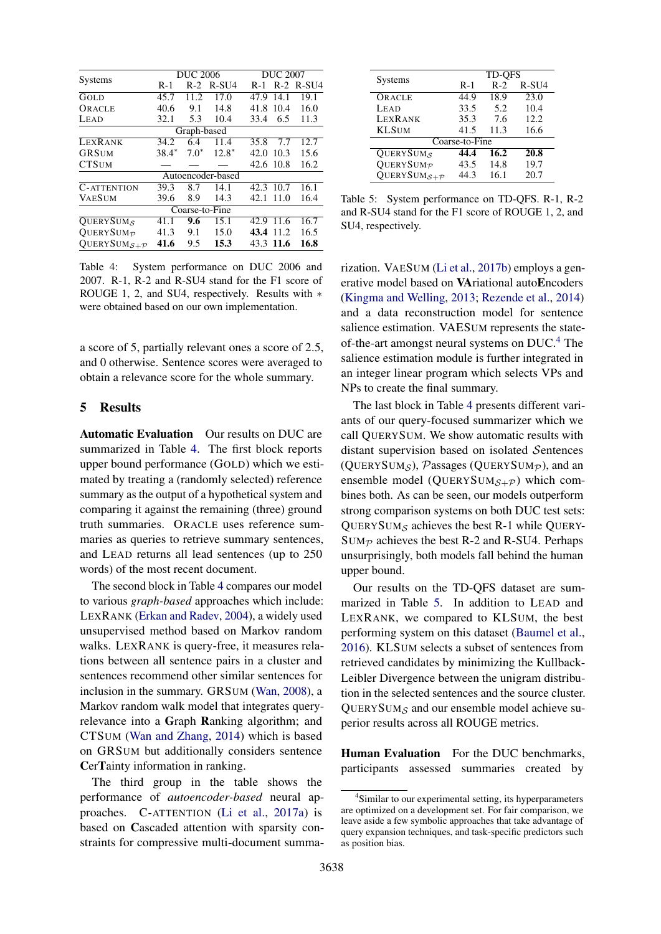<span id="page-6-0"></span>

|                                       | <b>DUC 2006</b> |             |                   |           | <b>DUC 2007</b> |               |  |
|---------------------------------------|-----------------|-------------|-------------------|-----------|-----------------|---------------|--|
| <b>Systems</b>                        | R-1             | $R-2$       | $R-SU4$           | R-1       |                 | $R-2$ $R-SU4$ |  |
| GOLD                                  | 45.7            | 11.2        | 17.0              | 47.9      | 14.1            | 19.1          |  |
| ORACLE                                | 40.6            | 9.1         | 14.8              | 41.8      | 10.4            | 16.0          |  |
| LEAD                                  | 32.1            | 5.3         | 10.4              | 33.4      | 6.5             | 11.3          |  |
|                                       |                 | Graph-based |                   |           |                 |               |  |
| <b>LEXRANK</b>                        | 34.2            | 6.4         | 11.4              | 35.8      | 7.7             | 12.7          |  |
| <b>GRSUM</b>                          | $38.4*$         | $7.0*$      | $12.8*$           | 42.0      | 10.3            | 15.6          |  |
| <b>CTSUM</b>                          |                 |             |                   |           | 42.6 10.8       | 16.2          |  |
|                                       |                 |             | Autoencoder-based |           |                 |               |  |
| <b>C-ATTENTION</b>                    | 39.3            | 8.7         | 14.1              | 42.3      | 10.7            | 16.1          |  |
| <b>VAESUM</b>                         | 39.6            | 8.9         | 14.3              | 42.1      | 11.0            | 16.4          |  |
|                                       |                 |             | Coarse-to-Fine    |           |                 |               |  |
| <b>OUERYSUMS</b>                      | 41.1            | 9.6         | 15.1              | 42.9      | 11.6            | 16.7          |  |
| OUERYSUM <sub>P</sub>                 | 41.3            | 9.1         | 15.0              | 43.4      | 11.2            | 16.5          |  |
| QUERYSUM $_{\mathcal{S}+\mathcal{P}}$ | 41.6            | 9.5         | 15.3              | 43.3 11.6 |                 | 16.8          |  |

Table 4: System performance on DUC 2006 and 2007. R-1, R-2 and R-SU4 stand for the F1 score of ROUGE 1, 2, and SU4, respectively. Results with ∗ were obtained based on our own implementation.

a score of 5, partially relevant ones a score of 2.5, and 0 otherwise. Sentence scores were averaged to obtain a relevance score for the whole summary.

#### 5 Results

Automatic Evaluation Our results on DUC are summarized in Table [4.](#page-6-0) The first block reports upper bound performance (GOLD) which we estimated by treating a (randomly selected) reference summary as the output of a hypothetical system and comparing it against the remaining (three) ground truth summaries. ORACLE uses reference summaries as queries to retrieve summary sentences, and LEAD returns all lead sentences (up to 250 words) of the most recent document.

The second block in Table [4](#page-6-0) compares our model to various *graph-based* approaches which include: LEXRANK [\(Erkan and Radev,](#page-9-14) [2004\)](#page-9-14), a widely used unsupervised method based on Markov random walks. LEXRANK is query-free, it measures relations between all sentence pairs in a cluster and sentences recommend other similar sentences for inclusion in the summary. GRSUM [\(Wan,](#page-10-6) [2008\)](#page-10-6), a Markov random walk model that integrates queryrelevance into a Graph Ranking algorithm; and CTSUM [\(Wan and Zhang,](#page-11-1) [2014\)](#page-11-1) which is based on GRSUM but additionally considers sentence CerTainty information in ranking.

The third group in the table shows the performance of *autoencoder-based* neural approaches. C-ATTENTION [\(Li et al.,](#page-10-13) [2017a\)](#page-10-13) is based on Cascaded attention with sparsity constraints for compressive multi-document summa-

<span id="page-6-2"></span>

|                       | <b>TD-OFS</b> |       |         |  |  |  |
|-----------------------|---------------|-------|---------|--|--|--|
| <b>Systems</b>        | $R-1$         | $R-2$ | $R-SU4$ |  |  |  |
| ORACLE                | 44.9          | 18.9  | 23.0    |  |  |  |
| LEAD                  | 33.5          | 5.2   | 10.4    |  |  |  |
| LEXRANK               | 35.3          | 7.6   | 12.2    |  |  |  |
| <b>KLSUM</b>          | 41.5          | 11.3  | 16.6    |  |  |  |
| Coarse-to-Fine        |               |       |         |  |  |  |
| <b>OUERYSUMS</b>      | 44.4          | 16.2  | 20.8    |  |  |  |
| OUERYSUM <sub>p</sub> | 43.5          | 14.8  | 19.7    |  |  |  |
| QUERYSUM $s+p$        | 44.3          | 16.1  | 20.7    |  |  |  |

Table 5: System performance on TD-QFS. R-1, R-2 and R-SU4 stand for the F1 score of ROUGE 1, 2, and SU4, respectively.

rization. VAESUM [\(Li et al.,](#page-10-2) [2017b\)](#page-10-2) employs a generative model based on VAriational autoEncoders [\(Kingma and Welling,](#page-10-17) [2013;](#page-10-17) [Rezende et al.,](#page-10-18) [2014\)](#page-10-18) and a data reconstruction model for sentence salience estimation. VAESUM represents the stateof-the-art amongst neural systems on DUC.[4](#page-6-1) The salience estimation module is further integrated in an integer linear program which selects VPs and NPs to create the final summary.

The last block in Table [4](#page-6-0) presents different variants of our query-focused summarizer which we call QUERYSUM. We show automatic results with distant supervision based on isolated Sentences (QUERYSUM<sub>S</sub>), Passages (QUERYSUM<sub>P</sub>), and an ensemble model (QUERYSUM $_{S+P}$ ) which combines both. As can be seen, our models outperform strong comparison systems on both DUC test sets: QUERYSUM<sub>S</sub> achieves the best R-1 while QUERY- $Sum_{\mathcal{P}}$  achieves the best R-2 and R-SU4. Perhaps unsurprisingly, both models fall behind the human upper bound.

Our results on the TD-QFS dataset are summarized in Table [5.](#page-6-2) In addition to LEAD and LEXRANK, we compared to KLSUM, the best performing system on this dataset [\(Baumel et al.,](#page-9-4) [2016\)](#page-9-4). KLSUM selects a subset of sentences from retrieved candidates by minimizing the Kullback-Leibler Divergence between the unigram distribution in the selected sentences and the source cluster. QUERYSUM $<sub>S</sub>$  and our ensemble model achieve su-</sub> perior results across all ROUGE metrics.

Human Evaluation For the DUC benchmarks, participants assessed summaries created by

<span id="page-6-1"></span><sup>4</sup> Similar to our experimental setting, its hyperparameters are optimized on a development set. For fair comparison, we leave aside a few symbolic approaches that take advantage of query expansion techniques, and task-specific predictors such as position bias.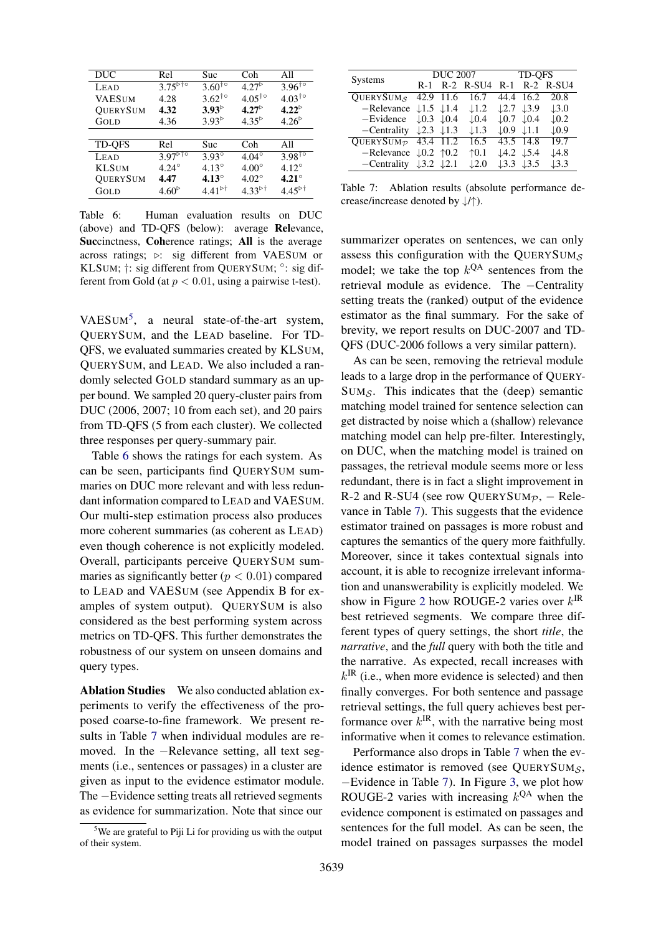<span id="page-7-1"></span>

| <b>DUC</b>    | Rel                                             | Suc                    | Coh                    | All                    |
|---------------|-------------------------------------------------|------------------------|------------------------|------------------------|
| LEAD          | $3.75^{570}$                                    | $3.60^{10}$            | $4.27^{\circ}$         | $3.96^{10}$            |
| <b>VAESUM</b> | 4.28                                            | $3.62^{\dagger \circ}$ | $4.05^{\dagger \circ}$ | $4.03^{\dagger \circ}$ |
| QUERYSUM      | 4.32                                            | $3.93^{\circ}$         | $4.27^{\circ}$         | $4.22^{\circ}$         |
| GOLD          | 4.36                                            | $3.93^{\circ}$         | $4.35^{\circ}$         | $4.26^{\circ}$         |
|               |                                                 |                        |                        |                        |
| <b>TD-QFS</b> | Rel                                             | Suc                    | Coh                    | All                    |
| LEAD          | $3.97^{\overline{\triangleright\uparrow\circ}}$ | $3.93^\circ$           | $4.04^\circ$           | $3.98^{10}$            |
| <b>KLSUM</b>  | $4.24^{\circ}$                                  | $4.13^{\circ}$         | $4.00^\circ$           | $4.12^{\circ}$         |
| QUERYSUM      | 4.47                                            | $4.13^\circ$           | $4.02^{\circ}$         | $4.21^\circ$           |
| GOLD          | $4.60^{\circ}$                                  | $4.41^{\circ\dagger}$  | $4.33^{51}$            | $4.45^{\circ\dagger}$  |

Table 6: Human evaluation results on DUC (above) and TD-QFS (below): average Relevance, Succinctness, Coherence ratings; All is the average across ratings;  $\triangleright$ : sig different from VAESUM or KLSUM;  $\dagger$ : sig different from QUERYSUM; °: sig different from Gold (at  $p < 0.01$ , using a pairwise t-test).

VAESUM<sup>[5](#page-7-0)</sup>, a neural state-of-the-art system, QUERYSUM, and the LEAD baseline. For TD-QFS, we evaluated summaries created by KLSUM, QUERYSUM, and LEAD. We also included a randomly selected GOLD standard summary as an upper bound. We sampled 20 query-cluster pairs from DUC (2006, 2007; 10 from each set), and 20 pairs from TD-QFS (5 from each cluster). We collected three responses per query-summary pair.

Table [6](#page-7-1) shows the ratings for each system. As can be seen, participants find QUERYSUM summaries on DUC more relevant and with less redundant information compared to LEAD and VAESUM. Our multi-step estimation process also produces more coherent summaries (as coherent as LEAD) even though coherence is not explicitly modeled. Overall, participants perceive QUERYSUM summaries as significantly better ( $p < 0.01$ ) compared to LEAD and VAESUM (see Appendix B for examples of system output). QUERYSUM is also considered as the best performing system across metrics on TD-QFS. This further demonstrates the robustness of our system on unseen domains and query types.

Ablation Studies We also conducted ablation experiments to verify the effectiveness of the proposed coarse-to-fine framework. We present results in Table [7](#page-7-2) when individual modules are removed. In the −Relevance setting, all text segments (i.e., sentences or passages) in a cluster are given as input to the evidence estimator module. The −Evidence setting treats all retrieved segments as evidence for summarization. Note that since our

<span id="page-7-2"></span>

| Systems                                          | <b>DUC 2007</b>                   |           |                  | TD-OFS                            |                  |                  |
|--------------------------------------------------|-----------------------------------|-----------|------------------|-----------------------------------|------------------|------------------|
|                                                  | R-1                               |           | $R-2$ $R-SU4$    | $R-1$                             |                  | $R-2$ $R-SU4$    |
| <b>OUERYSUM<sub>S</sub></b>                      |                                   | 42.9 11.6 | 16.7             |                                   | 44.4 16.2        | 20.8             |
| $-$ Relevance $\downarrow$ 1.5 $\downarrow$ 1.4  |                                   |           | $\downarrow$ 1.2 | $\downarrow$ 2.7 $\downarrow$ 3.9 |                  | $\downarrow$ 3.0 |
| -Evidence                                        | $\downarrow$ 0.3 $\downarrow$ 0.4 |           | $\downarrow$ 0.4 | $\downarrow$ 0.7 $\downarrow$ 0.4 |                  | $\downarrow$ 0.2 |
| $-$ Centrality $\downarrow$ 2.3 $\downarrow$ 1.3 |                                   |           | $\downarrow$ 1.3 | $\downarrow 0.9$                  | $\downarrow$ 1.1 | $\downarrow$ 0.9 |
| QUERYSUM $p$ 43.4 11.2                           |                                   |           | 16.5             | 43.5 14.8                         |                  | 19.7             |
| $-$ Relevance $\downarrow$ 0.2 $\uparrow$ 0.2    |                                   |           | $\uparrow$ 0.1   | $\downarrow$ 4.2 $\downarrow$ 5.4 |                  | $\downarrow$ 4.8 |
| -Centrality                                      | $\downarrow$ 3.2 $\downarrow$ 2.1 |           | $\downarrow$ 2.0 | $\downarrow$ 3.3                  | $\downarrow$ 3.5 | $\downarrow$ 3.3 |

Table 7: Ablation results (absolute performance decrease/increase denoted by ↓/↑).

summarizer operates on sentences, we can only assess this configuration with the QUERYSUM $<sub>S</sub>$ </sub> model; we take the top  $k^{QA}$  sentences from the retrieval module as evidence. The −Centrality setting treats the (ranked) output of the evidence estimator as the final summary. For the sake of brevity, we report results on DUC-2007 and TD-QFS (DUC-2006 follows a very similar pattern).

As can be seen, removing the retrieval module leads to a large drop in the performance of QUERY- $SUM_S$ . This indicates that the (deep) semantic matching model trained for sentence selection can get distracted by noise which a (shallow) relevance matching model can help pre-filter. Interestingly, on DUC, when the matching model is trained on passages, the retrieval module seems more or less redundant, there is in fact a slight improvement in R-2 and R-SU4 (see row QUERYSUM $p$ , – Relevance in Table [7\)](#page-7-2). This suggests that the evidence estimator trained on passages is more robust and captures the semantics of the query more faithfully. Moreover, since it takes contextual signals into account, it is able to recognize irrelevant information and unanswerability is explicitly modeled. We show in Figure [2](#page-8-1) how ROUGE-2 varies over  $k^{IR}$ best retrieved segments. We compare three different types of query settings, the short *title*, the *narrative*, and the *full* query with both the title and the narrative. As expected, recall increases with  $k^{\text{IR}}$  (i.e., when more evidence is selected) and then finally converges. For both sentence and passage retrieval settings, the full query achieves best performance over  $k^{\text{IR}}$ , with the narrative being most informative when it comes to relevance estimation.

Performance also drops in Table [7](#page-7-2) when the evidence estimator is removed (see QUERYSUM $<sub>S</sub>$ ,</sub> −Evidence in Table [7\)](#page-7-2). In Figure [3,](#page-8-2) we plot how ROUGE-2 varies with increasing  $k^{QA}$  when the evidence component is estimated on passages and sentences for the full model. As can be seen, the model trained on passages surpasses the model

<span id="page-7-0"></span><sup>&</sup>lt;sup>5</sup>We are grateful to Piji Li for providing us with the output of their system.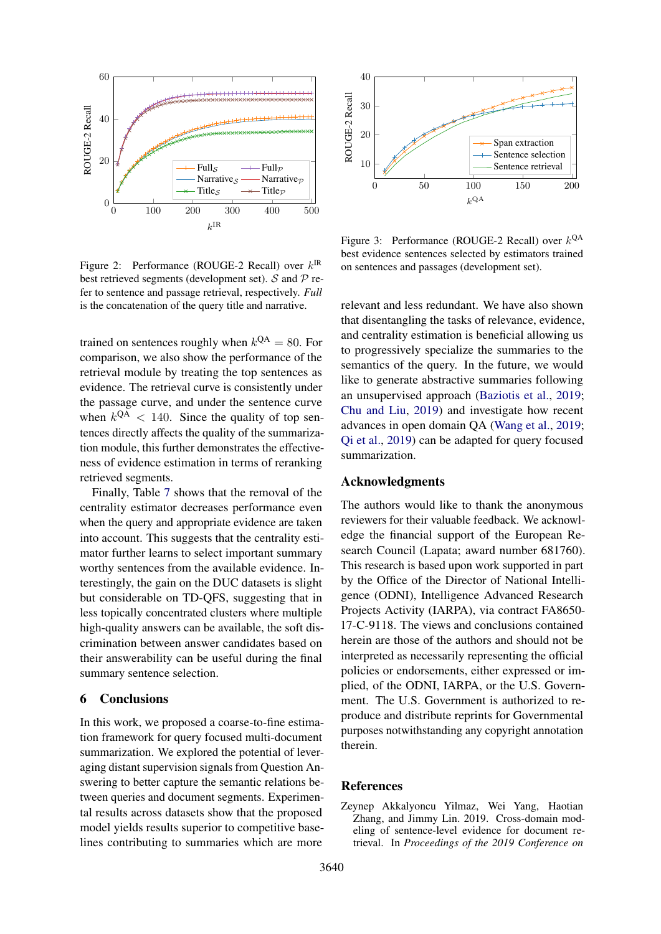<span id="page-8-1"></span>

Figure 2: Performance (ROUGE-2 Recall) over  $k^{IR}$ best retrieved segments (development set).  $S$  and  $P$  refer to sentence and passage retrieval, respectively. *Full* is the concatenation of the query title and narrative.

trained on sentences roughly when  $k^{QA} = 80$ . For comparison, we also show the performance of the retrieval module by treating the top sentences as evidence. The retrieval curve is consistently under the passage curve, and under the sentence curve when  $k^{QA}$  < 140. Since the quality of top sentences directly affects the quality of the summarization module, this further demonstrates the effectiveness of evidence estimation in terms of reranking retrieved segments.

Finally, Table [7](#page-7-2) shows that the removal of the centrality estimator decreases performance even when the query and appropriate evidence are taken into account. This suggests that the centrality estimator further learns to select important summary worthy sentences from the available evidence. Interestingly, the gain on the DUC datasets is slight but considerable on TD-QFS, suggesting that in less topically concentrated clusters where multiple high-quality answers can be available, the soft discrimination between answer candidates based on their answerability can be useful during the final summary sentence selection.

#### 6 Conclusions

In this work, we proposed a coarse-to-fine estimation framework for query focused multi-document summarization. We explored the potential of leveraging distant supervision signals from Question Answering to better capture the semantic relations between queries and document segments. Experimental results across datasets show that the proposed model yields results superior to competitive baselines contributing to summaries which are more

<span id="page-8-2"></span>

Figure 3: Performance (ROUGE-2 Recall) over  $k^{QA}$ best evidence sentences selected by estimators trained on sentences and passages (development set).

relevant and less redundant. We have also shown that disentangling the tasks of relevance, evidence, and centrality estimation is beneficial allowing us to progressively specialize the summaries to the semantics of the query. In the future, we would like to generate abstractive summaries following an unsupervised approach [\(Baziotis et al.,](#page-9-17) [2019;](#page-9-17) [Chu and Liu,](#page-9-18) [2019\)](#page-9-18) and investigate how recent advances in open domain QA [\(Wang et al.,](#page-11-8) [2019;](#page-11-8) [Qi et al.,](#page-10-19) [2019\)](#page-10-19) can be adapted for query focused summarization.

### Acknowledgments

The authors would like to thank the anonymous reviewers for their valuable feedback. We acknowledge the financial support of the European Research Council (Lapata; award number 681760). This research is based upon work supported in part by the Office of the Director of National Intelligence (ODNI), Intelligence Advanced Research Projects Activity (IARPA), via contract FA8650- 17-C-9118. The views and conclusions contained herein are those of the authors and should not be interpreted as necessarily representing the official policies or endorsements, either expressed or implied, of the ODNI, IARPA, or the U.S. Government. The U.S. Government is authorized to reproduce and distribute reprints for Governmental purposes notwithstanding any copyright annotation therein.

### References

<span id="page-8-0"></span>Zeynep Akkalyoncu Yilmaz, Wei Yang, Haotian Zhang, and Jimmy Lin. 2019. Cross-domain modeling of sentence-level evidence for document retrieval. In *Proceedings of the 2019 Conference on*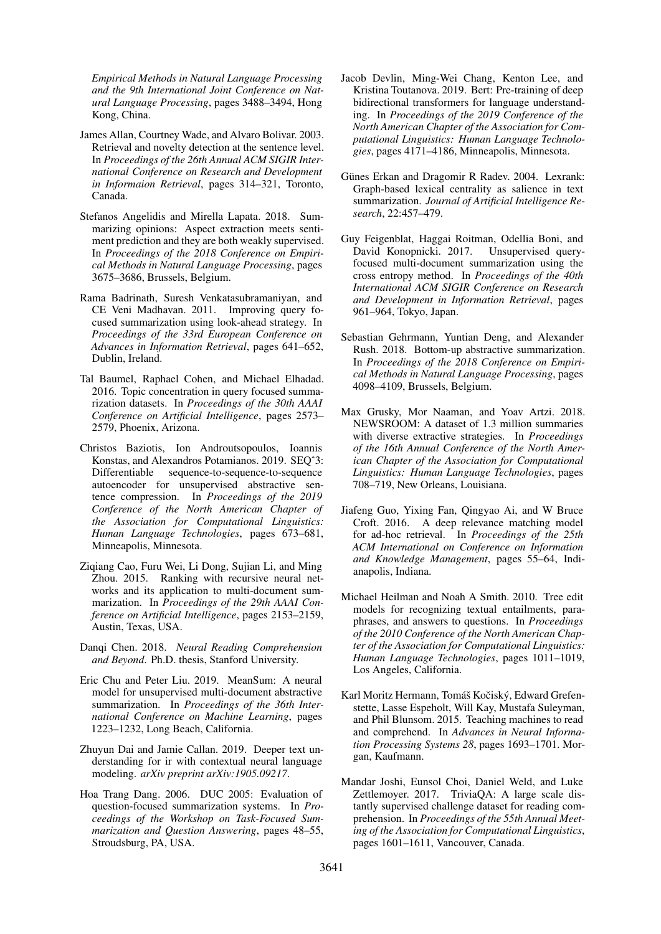*Empirical Methods in Natural Language Processing and the 9th International Joint Conference on Natural Language Processing*, pages 3488–3494, Hong Kong, China.

- <span id="page-9-13"></span>James Allan, Courtney Wade, and Alvaro Bolivar. 2003. Retrieval and novelty detection at the sentence level. In *Proceedings of the 26th Annual ACM SIGIR International Conference on Research and Development in Informaion Retrieval*, pages 314–321, Toronto, Canada.
- <span id="page-9-16"></span>Stefanos Angelidis and Mirella Lapata. 2018. Summarizing opinions: Aspect extraction meets sentiment prediction and they are both weakly supervised. In *Proceedings of the 2018 Conference on Empirical Methods in Natural Language Processing*, pages 3675–3686, Brussels, Belgium.
- <span id="page-9-9"></span>Rama Badrinath, Suresh Venkatasubramaniyan, and CE Veni Madhavan. 2011. Improving query focused summarization using look-ahead strategy. In *Proceedings of the 33rd European Conference on Advances in Information Retrieval*, pages 641–652, Dublin, Ireland.
- <span id="page-9-4"></span>Tal Baumel, Raphael Cohen, and Michael Elhadad. 2016. Topic concentration in query focused summarization datasets. In *Proceedings of the 30th AAAI Conference on Artificial Intelligence*, pages 2573– 2579, Phoenix, Arizona.
- <span id="page-9-17"></span>Christos Baziotis, Ion Androutsopoulos, Ioannis Konstas, and Alexandros Potamianos. 2019. SEO^3: Differentiable sequence-to-sequence-to-sequence autoencoder for unsupervised abstractive sentence compression. In *Proceedings of the 2019 Conference of the North American Chapter of the Association for Computational Linguistics: Human Language Technologies*, pages 673–681, Minneapolis, Minnesota.
- <span id="page-9-15"></span>Ziqiang Cao, Furu Wei, Li Dong, Sujian Li, and Ming Zhou. 2015. Ranking with recursive neural networks and its application to multi-document summarization. In *Proceedings of the 29th AAAI Conference on Artificial Intelligence*, pages 2153–2159, Austin, Texas, USA.
- <span id="page-9-11"></span>Danqi Chen. 2018. *Neural Reading Comprehension and Beyond*. Ph.D. thesis, Stanford University.
- <span id="page-9-18"></span>Eric Chu and Peter Liu. 2019. MeanSum: A neural model for unsupervised multi-document abstractive summarization. In *Proceedings of the 36th International Conference on Machine Learning*, pages 1223–1232, Long Beach, California.
- <span id="page-9-12"></span>Zhuyun Dai and Jamie Callan. 2019. Deeper text understanding for ir with contextual neural language modeling. *arXiv preprint arXiv:1905.09217*.
- <span id="page-9-0"></span>Hoa Trang Dang. 2006. DUC 2005: Evaluation of question-focused summarization systems. In *Proceedings of the Workshop on Task-Focused Summarization and Question Answering*, pages 48–55, Stroudsburg, PA, USA.
- <span id="page-9-8"></span>Jacob Devlin, Ming-Wei Chang, Kenton Lee, and Kristina Toutanova. 2019. Bert: Pre-training of deep bidirectional transformers for language understanding. In *Proceedings of the 2019 Conference of the North American Chapter of the Association for Computational Linguistics: Human Language Technologies*, pages 4171–4186, Minneapolis, Minnesota.
- <span id="page-9-14"></span>Günes Erkan and Dragomir R Radev. 2004. Lexrank: Graph-based lexical centrality as salience in text summarization. *Journal of Artificial Intelligence Research*, 22:457–479.
- <span id="page-9-10"></span>Guy Feigenblat, Haggai Roitman, Odellia Boni, and David Konopnicki. 2017. Unsupervised queryfocused multi-document summarization using the cross entropy method. In *Proceedings of the 40th International ACM SIGIR Conference on Research and Development in Information Retrieval*, pages 961–964, Tokyo, Japan.
- <span id="page-9-1"></span>Sebastian Gehrmann, Yuntian Deng, and Alexander Rush. 2018. Bottom-up abstractive summarization. In *Proceedings of the 2018 Conference on Empirical Methods in Natural Language Processing*, pages 4098–4109, Brussels, Belgium.
- <span id="page-9-3"></span>Max Grusky, Mor Naaman, and Yoav Artzi. 2018. NEWSROOM: A dataset of 1.3 million summaries with diverse extractive strategies. In *Proceedings of the 16th Annual Conference of the North American Chapter of the Association for Computational Linguistics: Human Language Technologies*, pages 708–719, New Orleans, Louisiana.
- <span id="page-9-6"></span>Jiafeng Guo, Yixing Fan, Qingyao Ai, and W Bruce Croft. 2016. A deep relevance matching model for ad-hoc retrieval. In *Proceedings of the 25th ACM International on Conference on Information and Knowledge Management*, pages 55–64, Indianapolis, Indiana.
- <span id="page-9-7"></span>Michael Heilman and Noah A Smith. 2010. Tree edit models for recognizing textual entailments, paraphrases, and answers to questions. In *Proceedings of the 2010 Conference of the North American Chapter of the Association for Computational Linguistics: Human Language Technologies*, pages 1011–1019, Los Angeles, California.
- <span id="page-9-2"></span>Karl Moritz Hermann, Tomáš Kočiský, Edward Grefenstette, Lasse Espeholt, Will Kay, Mustafa Suleyman, and Phil Blunsom. 2015. Teaching machines to read and comprehend. In *Advances in Neural Information Processing Systems 28*, pages 1693–1701. Morgan, Kaufmann.
- <span id="page-9-5"></span>Mandar Joshi, Eunsol Choi, Daniel Weld, and Luke Zettlemoyer. 2017. TriviaQA: A large scale distantly supervised challenge dataset for reading comprehension. In *Proceedings of the 55th Annual Meeting of the Association for Computational Linguistics*, pages 1601–1611, Vancouver, Canada.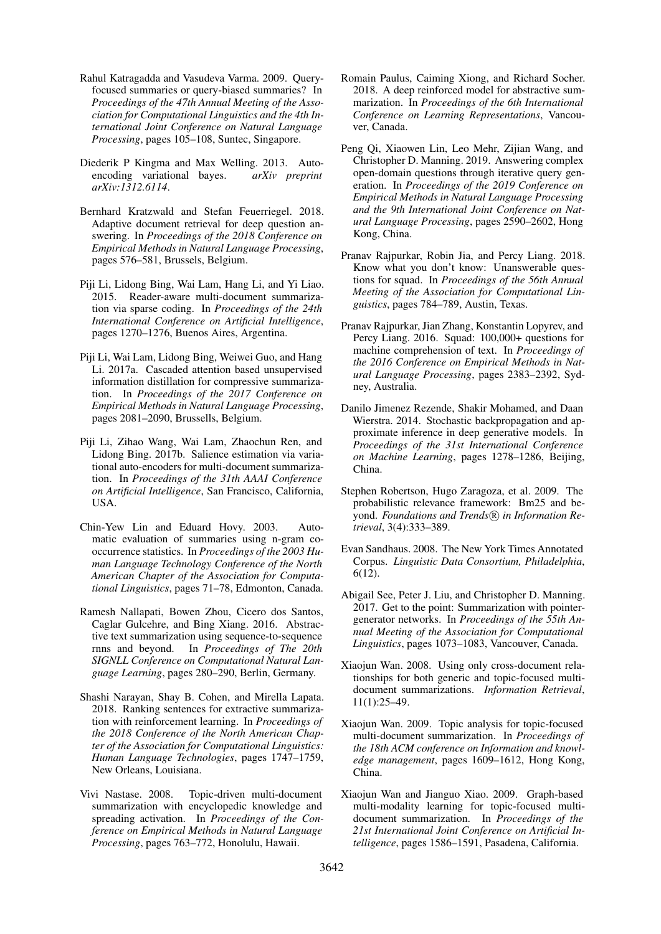- <span id="page-10-8"></span>Rahul Katragadda and Vasudeva Varma. 2009. Queryfocused summaries or query-biased summaries? In *Proceedings of the 47th Annual Meeting of the Association for Computational Linguistics and the 4th International Joint Conference on Natural Language Processing*, pages 105–108, Suntec, Singapore.
- <span id="page-10-17"></span>Diederik P Kingma and Max Welling. 2013. Autoencoding variational bayes. *arXiv preprint arXiv:1312.6114*.
- <span id="page-10-20"></span>Bernhard Kratzwald and Stefan Feuerriegel. 2018. Adaptive document retrieval for deep question answering. In *Proceedings of the 2018 Conference on Empirical Methods in Natural Language Processing*, pages 576–581, Brussels, Belgium.
- <span id="page-10-12"></span>Piji Li, Lidong Bing, Wai Lam, Hang Li, and Yi Liao. 2015. Reader-aware multi-document summarization via sparse coding. In *Proceedings of the 24th International Conference on Artificial Intelligence*, pages 1270–1276, Buenos Aires, Argentina.
- <span id="page-10-13"></span>Piji Li, Wai Lam, Lidong Bing, Weiwei Guo, and Hang Li. 2017a. Cascaded attention based unsupervised information distillation for compressive summarization. In *Proceedings of the 2017 Conference on Empirical Methods in Natural Language Processing*, pages 2081–2090, Brussells, Belgium.
- <span id="page-10-2"></span>Piji Li, Zihao Wang, Wai Lam, Zhaochun Ren, and Lidong Bing. 2017b. Salience estimation via variational auto-encoders for multi-document summarization. In *Proceedings of the 31th AAAI Conference on Artificial Intelligence*, San Francisco, California, USA.
- <span id="page-10-16"></span>Chin-Yew Lin and Eduard Hovy. 2003. Automatic evaluation of summaries using n-gram cooccurrence statistics. In *Proceedings of the 2003 Human Language Technology Conference of the North American Chapter of the Association for Computational Linguistics*, pages 71–78, Edmonton, Canada.
- <span id="page-10-0"></span>Ramesh Nallapati, Bowen Zhou, Cicero dos Santos, Caglar Gulcehre, and Bing Xiang. 2016. Abstractive text summarization using sequence-to-sequence rnns and beyond. In *Proceedings of The 20th SIGNLL Conference on Computational Natural Language Learning*, pages 280–290, Berlin, Germany.
- <span id="page-10-4"></span>Shashi Narayan, Shay B. Cohen, and Mirella Lapata. 2018. Ranking sentences for extractive summarization with reinforcement learning. In *Proceedings of the 2018 Conference of the North American Chapter of the Association for Computational Linguistics: Human Language Technologies*, pages 1747–1759, New Orleans, Louisiana.
- <span id="page-10-11"></span>Vivi Nastase. 2008. Topic-driven multi-document summarization with encyclopedic knowledge and spreading activation. In *Proceedings of the Conference on Empirical Methods in Natural Language Processing*, pages 763–772, Honolulu, Hawaii.
- <span id="page-10-1"></span>Romain Paulus, Caiming Xiong, and Richard Socher. 2018. A deep reinforced model for abstractive summarization. In *Proceedings of the 6th International Conference on Learning Representations*, Vancouver, Canada.
- <span id="page-10-19"></span>Peng Qi, Xiaowen Lin, Leo Mehr, Zijian Wang, and Christopher D. Manning. 2019. Answering complex open-domain questions through iterative query generation. In *Proceedings of the 2019 Conference on Empirical Methods in Natural Language Processing and the 9th International Joint Conference on Natural Language Processing*, pages 2590–2602, Hong Kong, China.
- <span id="page-10-15"></span>Pranav Rajpurkar, Robin Jia, and Percy Liang. 2018. Know what you don't know: Unanswerable questions for squad. In *Proceedings of the 56th Annual Meeting of the Association for Computational Linguistics*, pages 784–789, Austin, Texas.
- <span id="page-10-9"></span>Pranav Rajpurkar, Jian Zhang, Konstantin Lopyrev, and Percy Liang. 2016. Squad: 100,000+ questions for machine comprehension of text. In *Proceedings of the 2016 Conference on Empirical Methods in Natural Language Processing*, pages 2383–2392, Sydney, Australia.
- <span id="page-10-18"></span>Danilo Jimenez Rezende, Shakir Mohamed, and Daan Wierstra. 2014. Stochastic backpropagation and approximate inference in deep generative models. In *Proceedings of the 31st International Conference on Machine Learning*, pages 1278–1286, Beijing, China.
- <span id="page-10-14"></span>Stephen Robertson, Hugo Zaragoza, et al. 2009. The probabilistic relevance framework: Bm25 and beyond. Foundations and Trends<sup>(R)</sup> in Information Re*trieval*, 3(4):333–389.
- <span id="page-10-5"></span>Evan Sandhaus. 2008. The New York Times Annotated Corpus. *Linguistic Data Consortium, Philadelphia*, 6(12).
- <span id="page-10-3"></span>Abigail See, Peter J. Liu, and Christopher D. Manning. 2017. Get to the point: Summarization with pointergenerator networks. In *Proceedings of the 55th Annual Meeting of the Association for Computational Linguistics*, pages 1073–1083, Vancouver, Canada.
- <span id="page-10-6"></span>Xiaojun Wan. 2008. Using only cross-document relationships for both generic and topic-focused multidocument summarizations. *Information Retrieval*, 11(1):25–49.
- <span id="page-10-10"></span>Xiaojun Wan. 2009. Topic analysis for topic-focused multi-document summarization. In *Proceedings of the 18th ACM conference on Information and knowledge management*, pages 1609–1612, Hong Kong, China.
- <span id="page-10-7"></span>Xiaojun Wan and Jianguo Xiao. 2009. Graph-based multi-modality learning for topic-focused multidocument summarization. In *Proceedings of the 21st International Joint Conference on Artificial Intelligence*, pages 1586–1591, Pasadena, California.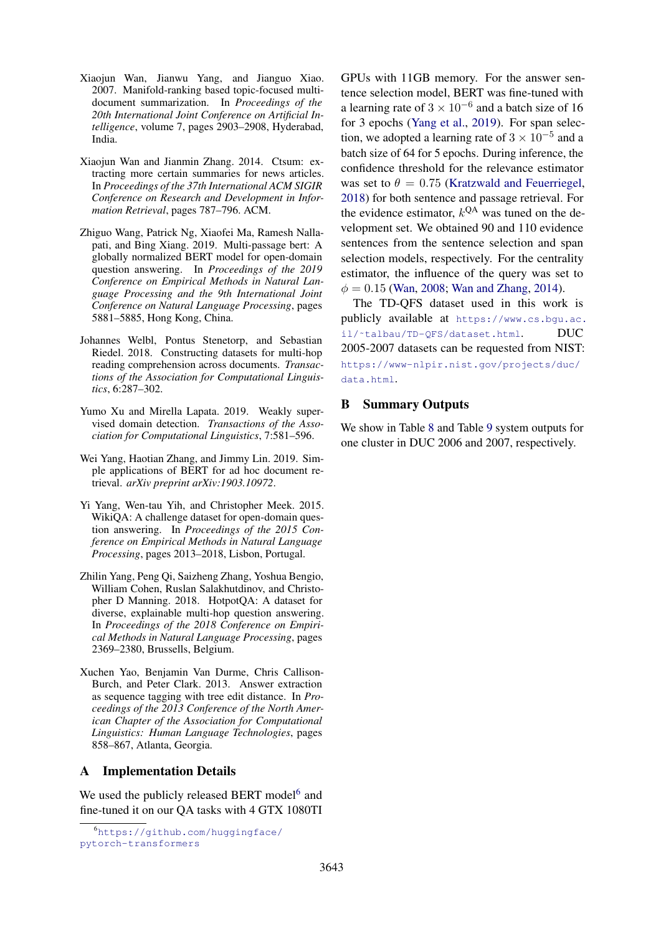- <span id="page-11-0"></span>Xiaojun Wan, Jianwu Yang, and Jianguo Xiao. 2007. Manifold-ranking based topic-focused multidocument summarization. In *Proceedings of the 20th International Joint Conference on Artificial Intelligence*, volume 7, pages 2903–2908, Hyderabad, India.
- <span id="page-11-1"></span>Xiaojun Wan and Jianmin Zhang. 2014. Ctsum: extracting more certain summaries for news articles. In *Proceedings of the 37th International ACM SIGIR Conference on Research and Development in Information Retrieval*, pages 787–796. ACM.
- <span id="page-11-8"></span>Zhiguo Wang, Patrick Ng, Xiaofei Ma, Ramesh Nallapati, and Bing Xiang. 2019. Multi-passage bert: A globally normalized BERT model for open-domain question answering. In *Proceedings of the 2019 Conference on Empirical Methods in Natural Language Processing and the 9th International Joint Conference on Natural Language Processing*, pages 5881–5885, Hong Kong, China.
- <span id="page-11-6"></span>Johannes Welbl, Pontus Stenetorp, and Sebastian Riedel. 2018. Constructing datasets for multi-hop reading comprehension across documents. *Transactions of the Association for Computational Linguistics*, 6:287–302.
- <span id="page-11-4"></span>Yumo Xu and Mirella Lapata. 2019. Weakly supervised domain detection. *Transactions of the Association for Computational Linguistics*, 7:581–596.
- <span id="page-11-7"></span>Wei Yang, Haotian Zhang, and Jimmy Lin. 2019. Simple applications of BERT for ad hoc document retrieval. *arXiv preprint arXiv:1903.10972*.
- <span id="page-11-3"></span>Yi Yang, Wen-tau Yih, and Christopher Meek. 2015. WikiQA: A challenge dataset for open-domain question answering. In *Proceedings of the 2015 Conference on Empirical Methods in Natural Language Processing*, pages 2013–2018, Lisbon, Portugal.
- <span id="page-11-2"></span>Zhilin Yang, Peng Qi, Saizheng Zhang, Yoshua Bengio, William Cohen, Ruslan Salakhutdinov, and Christopher D Manning. 2018. HotpotQA: A dataset for diverse, explainable multi-hop question answering. In *Proceedings of the 2018 Conference on Empirical Methods in Natural Language Processing*, pages 2369–2380, Brussells, Belgium.
- <span id="page-11-5"></span>Xuchen Yao, Benjamin Van Durme, Chris Callison-Burch, and Peter Clark. 2013. Answer extraction as sequence tagging with tree edit distance. In *Proceedings of the 2013 Conference of the North American Chapter of the Association for Computational Linguistics: Human Language Technologies*, pages 858–867, Atlanta, Georgia.

### A Implementation Details

We used the publicly released BERT model<sup>[6](#page-11-9)</sup> and fine-tuned it on our QA tasks with 4 GTX 1080TI GPUs with 11GB memory. For the answer sentence selection model, BERT was fine-tuned with a learning rate of  $3 \times 10^{-6}$  and a batch size of 16 for 3 epochs [\(Yang et al.,](#page-11-7) [2019\)](#page-11-7). For span selection, we adopted a learning rate of  $3 \times 10^{-5}$  and a batch size of 64 for 5 epochs. During inference, the confidence threshold for the relevance estimator was set to  $\theta = 0.75$  [\(Kratzwald and Feuerriegel,](#page-10-20) [2018\)](#page-10-20) for both sentence and passage retrieval. For the evidence estimator,  $k^{QA}$  was tuned on the development set. We obtained 90 and 110 evidence sentences from the sentence selection and span selection models, respectively. For the centrality estimator, the influence of the query was set to  $\phi = 0.15$  [\(Wan,](#page-10-6) [2008;](#page-10-6) [Wan and Zhang,](#page-11-1) [2014\)](#page-11-1).

The TD-QFS dataset used in this work is publicly available at [https://www.cs.bgu.ac.](https://www.cs.bgu.ac.il/~talbau/TD-QFS/dataset.html) il/~talbau/TD-QFS/dataset.html. DUC 2005-2007 datasets can be requested from NIST: [https://www-nlpir.nist.gov/projects/duc/](https://www-nlpir.nist.gov/projects/duc/data.html) [data.html](https://www-nlpir.nist.gov/projects/duc/data.html).

### B Summary Outputs

We show in Table [8](#page-12-0) and Table [9](#page-13-0) system outputs for one cluster in DUC 2006 and 2007, respectively.

<span id="page-11-9"></span><sup>6</sup>[https://github.com/huggingface/](https://github.com/huggingface/pytorch-transformers) [pytorch-transformers](https://github.com/huggingface/pytorch-transformers)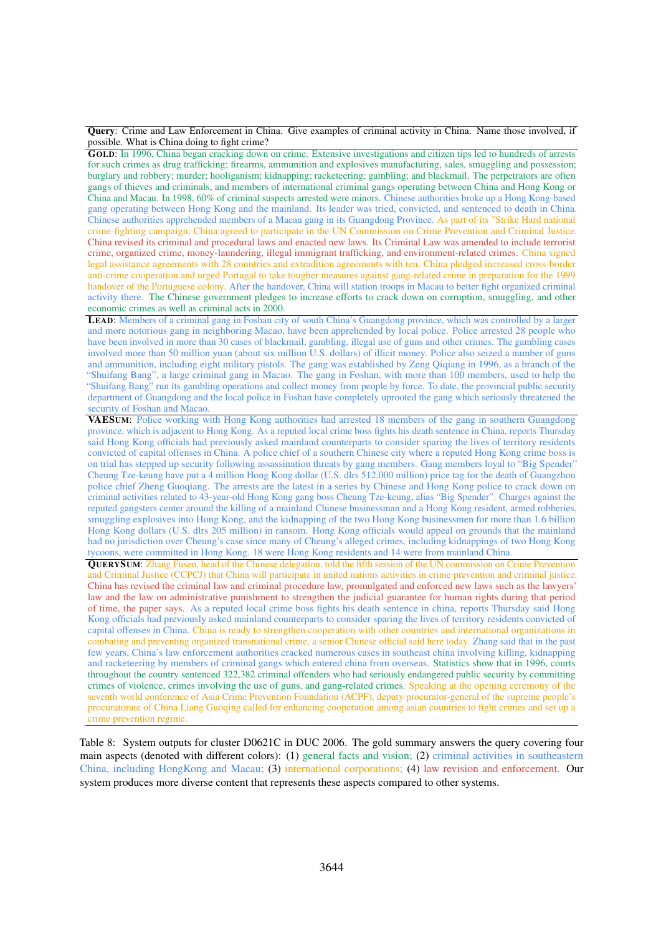<span id="page-12-0"></span>Query: Crime and Law Enforcement in China. Give examples of criminal activity in China. Name those involved, if possible. What is China doing to fight crime?

GOLD: In 1996, China began cracking down on crime. Extensive investigations and citizen tips led to hundreds of arrests for such crimes as drug trafficking; firearms, ammunition and explosives manufacturing, sales, smuggling and possession; burglary and robbery; murder; hooliganism; kidnapping; racketeering; gambling; and blackmail. The perpetrators are often gangs of thieves and criminals, and members of international criminal gangs operating between China and Hong Kong or China and Macau. In 1998, 60% of criminal suspects arrested were minors. Chinese authorities broke up a Hong Kong-based gang operating between Hong Kong and the mainland. Its leader was tried, convicted, and sentenced to death in China. Chinese authorities apprehended members of a Macau gang in its Guangdong Province. As part of its "Strike Hard national crime-fighting campaign, China agreed to participate in the UN Commission on Crime Prevention and Criminal Justice. China revised its criminal and procedural laws and enacted new laws. Its Criminal Law was amended to include terrorist crime, organized crime, money-laundering, illegal immigrant trafficking, and environment-related crimes. China signed legal assistance agreements with 28 countries and extradition agreements with ten. China pledged increased cross-border anti-crime cooperation and urged Portugal to take tougher measures against gang-related crime in preparation for the 1999 handover of the Portuguese colony. After the handover, China will station troops in Macau to better fight organized criminal activity there. The Chinese government pledges to increase efforts to crack down on corruption, smuggling, and other economic crimes as well as criminal acts in 2000.

LEAD: Members of a criminal gang in Foshan city of south China's Guangdong province, which was controlled by a larger and more notorious gang in neighboring Macao, have been apprehended by local police. Police arrested 28 people who have been involved in more than 30 cases of blackmail, gambling, illegal use of guns and other crimes. The gambling cases involved more than 50 million yuan (about six million U.S. dollars) of illicit money. Police also seized a number of guns and ammunition, including eight military pistols. The gang was established by Zeng Qiqiang in 1996, as a branch of the "Shuifang Bang", a large criminal gang in Macao. The gang in Foshan, with more than 100 members, used to help the "Shuifang Bang" run its gambling operations and collect money from people by force. To date, the provincial public security department of Guangdong and the local police in Foshan have completely uprooted the gang which seriously threatened the security of Foshan and Macao.

VAESUM: Police working with Hong Kong authorities had arrested 18 members of the gang in southern Guangdong province, which is adjacent to Hong Kong. As a reputed local crime boss fights his death sentence in China, reports Thursday said Hong Kong officials had previously asked mainland counterparts to consider sparing the lives of territory residents convicted of capital offenses in China. A police chief of a southern Chinese city where a reputed Hong Kong crime boss is on trial has stepped up security following assassination threats by gang members. Gang members loyal to "Big Spender" Cheung Tze-keung have put a 4 million Hong Kong dollar (U.S. dlrs 512,000 million) price tag for the death of Guangzhou police chief Zheng Guoqiang. The arrests are the latest in a series by Chinese and Hong Kong police to crack down on criminal activities related to 43-year-old Hong Kong gang boss Cheung Tze-keung, alias "Big Spender". Charges against the reputed gangsters center around the killing of a mainland Chinese businessman and a Hong Kong resident, armed robberies, smuggling explosives into Hong Kong, and the kidnapping of the two Hong Kong businessmen for more than 1.6 billion Hong Kong dollars (U.S. dlrs 205 million) in ransom. Hong Kong officials would appeal on grounds that the mainland had no jurisdiction over Cheung's case since many of Cheung's alleged crimes, including kidnappings of two Hong Kong tycoons, were committed in Hong Kong. 18 were Hong Kong residents and 14 were from mainland China.

QUERYSUM: Zhang Fusen, head of the Chinese delegation, told the fifth session of the UN commission on Crime Prevention and Criminal Justice (CCPCJ) that China will participate in united nations activities in crime prevention and criminal justice. China has revised the criminal law and criminal procedure law, promulgated and enforced new laws such as the lawyers' law and the law on administrative punishment to strengthen the judicial guarantee for human rights during that period of time, the paper says. As a reputed local crime boss fights his death sentence in china, reports Thursday said Hong Kong officials had previously asked mainland counterparts to consider sparing the lives of territory residents convicted of capital offenses in China. China is ready to strengthen cooperation with other countries and international organizations in combating and preventing organized transnational crime, a senior Chinese official said here today. Zhang said that in the past few years, China's law enforcement authorities cracked numerous cases in southeast china involving killing, kidnapping and racketeering by members of criminal gangs which entered china from overseas. Statistics show that in 1996, courts throughout the country sentenced 322,382 criminal offenders who had seriously endangered public security by committing crimes of violence, crimes involving the use of guns, and gang-related crimes. Speaking at the opening ceremony of the seventh world conference of Asia Crime Prevention Foundation (ACPF), deputy procurator-general of the supreme people's procuratorate of China Liang Guoqing called for enhancing cooperation among asian countries to fight crimes and set up a crime prevention regime.

Table 8: System outputs for cluster D0621C in DUC 2006. The gold summary answers the query covering four main aspects (denoted with different colors): (1) general facts and vision; (2) criminal activities in southeastern China, including HongKong and Macau; (3) international corporations; (4) law revision and enforcement. Our system produces more diverse content that represents these aspects compared to other systems.